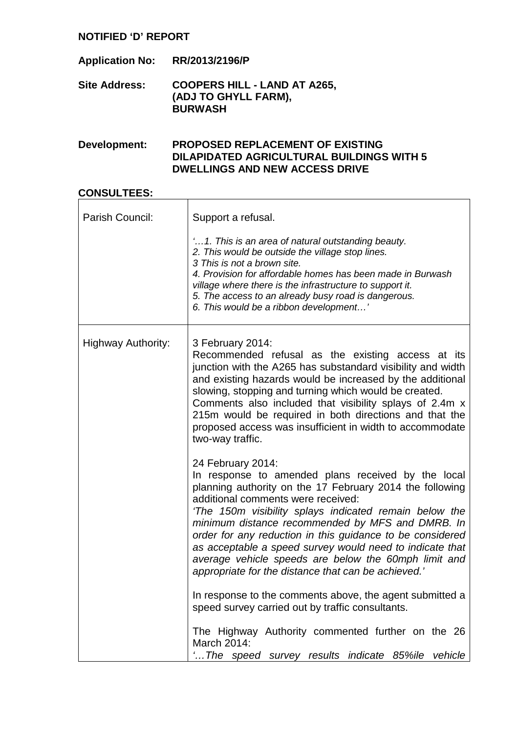| <b>Application No:</b> | RR/2013/2196/P                                                                |
|------------------------|-------------------------------------------------------------------------------|
| <b>Site Address:</b>   | <b>COOPERS HILL - LAND AT A265,</b><br>(ADJ TO GHYLL FARM),<br><b>BURWASH</b> |

### **Development: PROPOSED REPLACEMENT OF EXISTING DILAPIDATED AGRICULTURAL BUILDINGS WITH 5 DWELLINGS AND NEW ACCESS DRIVE**

### **CONSULTEES:**

| Parish Council:    | Support a refusal.                                                                                                                                                                                                                                                                                                                                                                                                                                                                                                              |
|--------------------|---------------------------------------------------------------------------------------------------------------------------------------------------------------------------------------------------------------------------------------------------------------------------------------------------------------------------------------------------------------------------------------------------------------------------------------------------------------------------------------------------------------------------------|
|                    | '1. This is an area of natural outstanding beauty.<br>2. This would be outside the village stop lines.<br>3 This is not a brown site.<br>4. Provision for affordable homes has been made in Burwash<br>village where there is the infrastructure to support it.<br>5. The access to an already busy road is dangerous.<br>6. This would be a ribbon development'                                                                                                                                                                |
| Highway Authority: | 3 February 2014:<br>Recommended refusal as the existing access at its<br>junction with the A265 has substandard visibility and width<br>and existing hazards would be increased by the additional<br>slowing, stopping and turning which would be created.<br>Comments also included that visibility splays of 2.4m x<br>215m would be required in both directions and that the<br>proposed access was insufficient in width to accommodate<br>two-way traffic.                                                                 |
|                    | 24 February 2014:<br>In response to amended plans received by the local<br>planning authority on the 17 February 2014 the following<br>additional comments were received:<br>'The 150m visibility splays indicated remain below the<br>minimum distance recommended by MFS and DMRB. In<br>order for any reduction in this guidance to be considered<br>as acceptable a speed survey would need to indicate that<br>average vehicle speeds are below the 60mph limit and<br>appropriate for the distance that can be achieved.' |
|                    | In response to the comments above, the agent submitted a<br>speed survey carried out by traffic consultants.                                                                                                                                                                                                                                                                                                                                                                                                                    |
|                    | The Highway Authority commented further on the 26<br>March 2014:<br>" The speed survey results indicate 85%ile vehicle                                                                                                                                                                                                                                                                                                                                                                                                          |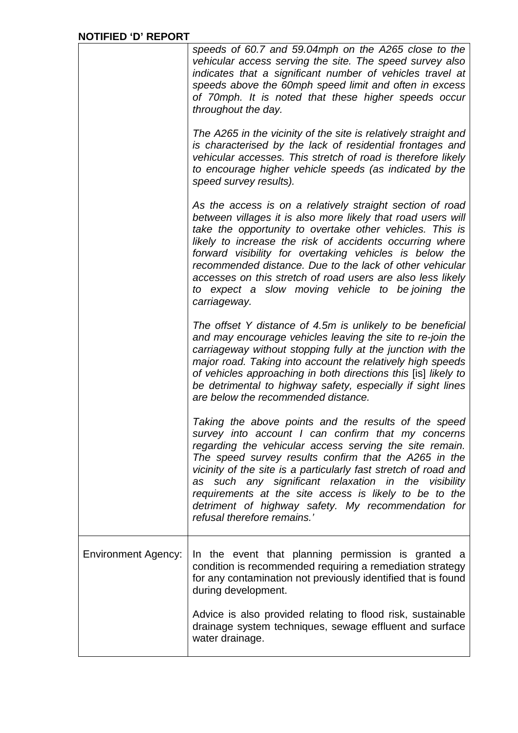|                            | speeds of 60.7 and 59.04mph on the A265 close to the<br>vehicular access serving the site. The speed survey also<br>indicates that a significant number of vehicles travel at<br>speeds above the 60mph speed limit and often in excess<br>of 70mph. It is noted that these higher speeds occur<br>throughout the day.                                                                                                                                                                                       |
|----------------------------|--------------------------------------------------------------------------------------------------------------------------------------------------------------------------------------------------------------------------------------------------------------------------------------------------------------------------------------------------------------------------------------------------------------------------------------------------------------------------------------------------------------|
|                            | The A265 in the vicinity of the site is relatively straight and<br>is characterised by the lack of residential frontages and<br>vehicular accesses. This stretch of road is therefore likely<br>to encourage higher vehicle speeds (as indicated by the<br>speed survey results).                                                                                                                                                                                                                            |
|                            | As the access is on a relatively straight section of road<br>between villages it is also more likely that road users will<br>take the opportunity to overtake other vehicles. This is<br>likely to increase the risk of accidents occurring where<br>forward visibility for overtaking vehicles is below the<br>recommended distance. Due to the lack of other vehicular<br>accesses on this stretch of road users are also less likely<br>to expect a slow moving vehicle to be joining the<br>carriageway. |
|                            | The offset Y distance of 4.5m is unlikely to be beneficial<br>and may encourage vehicles leaving the site to re-join the<br>carriageway without stopping fully at the junction with the<br>major road. Taking into account the relatively high speeds<br>of vehicles approaching in both directions this [is] likely to<br>be detrimental to highway safety, especially if sight lines<br>are below the recommended distance.                                                                                |
|                            | Taking the above points and the results of the speed<br>survey into account I can confirm that my concerns<br>regarding the vehicular access serving the site remain.<br>The speed survey results confirm that the A265 in the<br>vicinity of the site is a particularly fast stretch of road and<br>as such any significant relaxation in the visibility<br>requirements at the site access is likely to be to the<br>detriment of highway safety. My recommendation for<br>refusal therefore remains.'     |
| <b>Environment Agency:</b> | In the event that planning permission is granted a<br>condition is recommended requiring a remediation strategy<br>for any contamination not previously identified that is found<br>during development.                                                                                                                                                                                                                                                                                                      |
|                            | Advice is also provided relating to flood risk, sustainable<br>drainage system techniques, sewage effluent and surface<br>water drainage.                                                                                                                                                                                                                                                                                                                                                                    |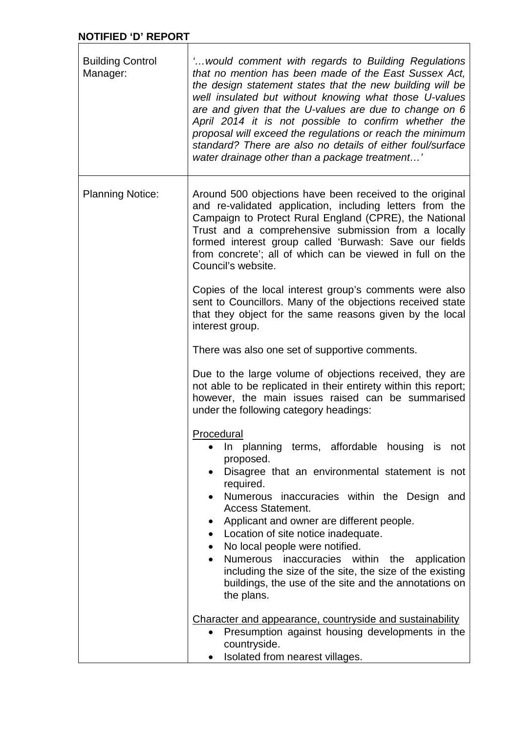|                                     | <b>NOTIFIED 'D' REPORT</b>                                                                                                                                                                                                                                                                                                                                                                                                                                                                                                                                                                                                |  |  |
|-------------------------------------|---------------------------------------------------------------------------------------------------------------------------------------------------------------------------------------------------------------------------------------------------------------------------------------------------------------------------------------------------------------------------------------------------------------------------------------------------------------------------------------------------------------------------------------------------------------------------------------------------------------------------|--|--|
| <b>Building Control</b><br>Manager: | ' would comment with regards to Building Regulations<br>that no mention has been made of the East Sussex Act,<br>the design statement states that the new building will be<br>well insulated but without knowing what those U-values<br>are and given that the U-values are due to change on 6<br>April 2014 it is not possible to confirm whether the<br>proposal will exceed the regulations or reach the minimum<br>standard? There are also no details of either foul/surface<br>water drainage other than a package treatment'                                                                                       |  |  |
| <b>Planning Notice:</b>             | Around 500 objections have been received to the original<br>and re-validated application, including letters from the<br>Campaign to Protect Rural England (CPRE), the National<br>Trust and a comprehensive submission from a locally<br>formed interest group called 'Burwash: Save our fields<br>from concrete'; all of which can be viewed in full on the<br>Council's website.                                                                                                                                                                                                                                        |  |  |
|                                     | Copies of the local interest group's comments were also<br>sent to Councillors. Many of the objections received state<br>that they object for the same reasons given by the local<br>interest group.                                                                                                                                                                                                                                                                                                                                                                                                                      |  |  |
|                                     | There was also one set of supportive comments.                                                                                                                                                                                                                                                                                                                                                                                                                                                                                                                                                                            |  |  |
|                                     | Due to the large volume of objections received, they are<br>not able to be replicated in their entirety within this report;<br>however, the main issues raised can be summarised<br>under the following category headings:                                                                                                                                                                                                                                                                                                                                                                                                |  |  |
|                                     | Procedural<br>In planning terms, affordable housing is not<br>$\bullet$<br>proposed.<br>Disagree that an environmental statement is not<br>$\bullet$<br>required.<br>Numerous inaccuracies within the Design and<br>$\bullet$<br><b>Access Statement.</b><br>Applicant and owner are different people.<br>$\bullet$<br>Location of site notice inadequate.<br>$\bullet$<br>No local people were notified.<br>$\bullet$<br>Numerous inaccuracies within the<br>application<br>$\bullet$<br>including the size of the site, the size of the existing<br>buildings, the use of the site and the annotations on<br>the plans. |  |  |
|                                     | Character and appearance, countryside and sustainability<br>Presumption against housing developments in the<br>$\bullet$<br>countryside.<br>Isolated from nearest villages.                                                                                                                                                                                                                                                                                                                                                                                                                                               |  |  |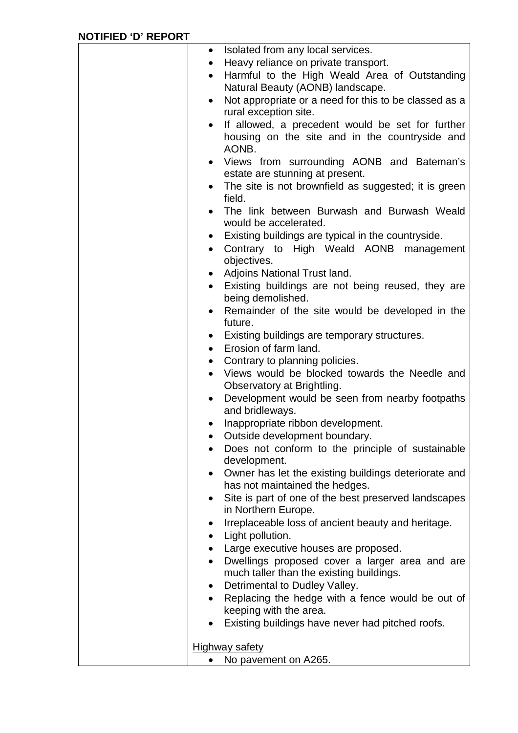| $\bullet$              | Isolated from any local services.                                                      |
|------------------------|----------------------------------------------------------------------------------------|
| $\bullet$              | Heavy reliance on private transport.                                                   |
| $\bullet$              | Harmful to the High Weald Area of Outstanding                                          |
|                        | Natural Beauty (AONB) landscape.                                                       |
| $\bullet$              | Not appropriate or a need for this to be classed as a                                  |
|                        | rural exception site.                                                                  |
| $\bullet$              | If allowed, a precedent would be set for further                                       |
|                        | housing on the site and in the countryside and<br>AONB.                                |
|                        | Views from surrounding AONB and Bateman's                                              |
|                        | estate are stunning at present.                                                        |
| $\bullet$              | The site is not brownfield as suggested; it is green                                   |
|                        | field.                                                                                 |
| $\bullet$              | The link between Burwash and Burwash Weald                                             |
|                        | would be accelerated.                                                                  |
| $\bullet$              | Existing buildings are typical in the countryside.                                     |
| $\bullet$              | Contrary to High Weald AONB management                                                 |
|                        | objectives.                                                                            |
| $\bullet$              | Adjoins National Trust land.                                                           |
|                        | Existing buildings are not being reused, they are                                      |
|                        | being demolished.                                                                      |
| $\bullet$              | Remainder of the site would be developed in the                                        |
|                        | future.                                                                                |
| $\bullet$              | Existing buildings are temporary structures.                                           |
|                        | • Erosion of farm land.                                                                |
| $\bullet$              | Contrary to planning policies.                                                         |
| $\bullet$              | Views would be blocked towards the Needle and                                          |
|                        | Observatory at Brightling.                                                             |
| $\bullet$              | Development would be seen from nearby footpaths                                        |
|                        | and bridleways.                                                                        |
|                        | Inappropriate ribbon development.                                                      |
|                        | Outside development boundary.                                                          |
|                        | Does not conform to the principle of sustainable                                       |
|                        | development.                                                                           |
| $\bullet$              | Owner has let the existing buildings deteriorate and<br>has not maintained the hedges. |
| $\bullet$              | Site is part of one of the best preserved landscapes                                   |
|                        | in Northern Europe.                                                                    |
| $\bullet$              | Irreplaceable loss of ancient beauty and heritage.                                     |
| $\bullet$              | Light pollution.                                                                       |
| $\bullet$              | Large executive houses are proposed.                                                   |
| $\bullet$              | Dwellings proposed cover a larger area and are                                         |
|                        | much taller than the existing buildings.                                               |
|                        | Detrimental to Dudley Valley.                                                          |
| $\bullet$<br>$\bullet$ |                                                                                        |
|                        | Replacing the hedge with a fence would be out of<br>keeping with the area.             |
|                        |                                                                                        |
|                        | Existing buildings have never had pitched roofs.                                       |
|                        | <b>Highway safety</b>                                                                  |
|                        | No pavement on A265.                                                                   |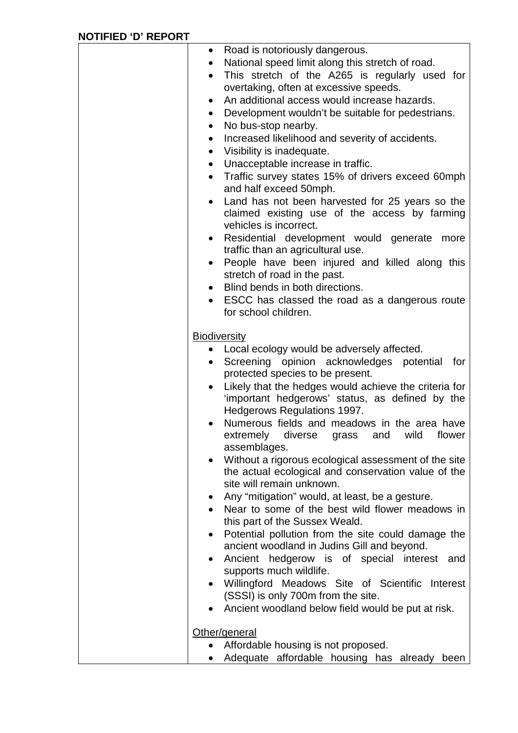| $\bullet$           | Road is notoriously dangerous.                                                                           |
|---------------------|----------------------------------------------------------------------------------------------------------|
| $\bullet$           | National speed limit along this stretch of road.                                                         |
| $\bullet$           | This stretch of the A265 is regularly used for                                                           |
|                     | overtaking, often at excessive speeds.                                                                   |
| $\bullet$           | An additional access would increase hazards.                                                             |
| $\bullet$           | Development wouldn't be suitable for pedestrians.                                                        |
| $\bullet$           | No bus-stop nearby.                                                                                      |
| $\bullet$           | Increased likelihood and severity of accidents.                                                          |
| $\bullet$           | Visibility is inadequate.                                                                                |
| $\bullet$           | Unacceptable increase in traffic.                                                                        |
| $\bullet$           | Traffic survey states 15% of drivers exceed 60mph                                                        |
|                     | and half exceed 50mph.                                                                                   |
| $\bullet$           | Land has not been harvested for 25 years so the                                                          |
|                     | claimed existing use of the access by farming                                                            |
|                     | vehicles is incorrect.                                                                                   |
| $\bullet$           | Residential development would generate<br>more                                                           |
|                     | traffic than an agricultural use.                                                                        |
|                     | People have been injured and killed along this                                                           |
|                     | stretch of road in the past.                                                                             |
|                     | Blind bends in both directions.                                                                          |
|                     | • ESCC has classed the road as a dangerous route                                                         |
|                     | for school children.                                                                                     |
|                     |                                                                                                          |
| <b>Biodiversity</b> |                                                                                                          |
|                     | • Local ecology would be adversely affected.                                                             |
|                     | Screening opinion acknowledges potential for                                                             |
|                     | protected species to be present.                                                                         |
|                     | Likely that the hedges would achieve the criteria for<br>'important hedgerows' status, as defined by the |
|                     | Hedgerows Regulations 1997.                                                                              |
| $\bullet$           | Numerous fields and meadows in the area have                                                             |
|                     | extremely diverse grass and wild flower                                                                  |
|                     | assemblages.                                                                                             |
|                     | Without a rigorous ecological assessment of the site                                                     |
|                     | the actual ecological and conservation value of the                                                      |
|                     | site will remain unknown.                                                                                |
|                     | Any "mitigation" would, at least, be a gesture.                                                          |
|                     | Near to some of the best wild flower meadows in                                                          |
|                     | this part of the Sussex Weald.                                                                           |
|                     | Potential pollution from the site could damage the                                                       |
|                     | ancient woodland in Judins Gill and beyond.                                                              |
|                     | Ancient hedgerow is of special interest and                                                              |
|                     | supports much wildlife.                                                                                  |
|                     | Willingford Meadows Site of Scientific Interest                                                          |
|                     | (SSSI) is only 700m from the site.                                                                       |
|                     | Ancient woodland below field would be put at risk.                                                       |
|                     |                                                                                                          |
|                     | Other/general                                                                                            |
|                     | Affordable housing is not proposed.                                                                      |
|                     | Adequate affordable housing has already been                                                             |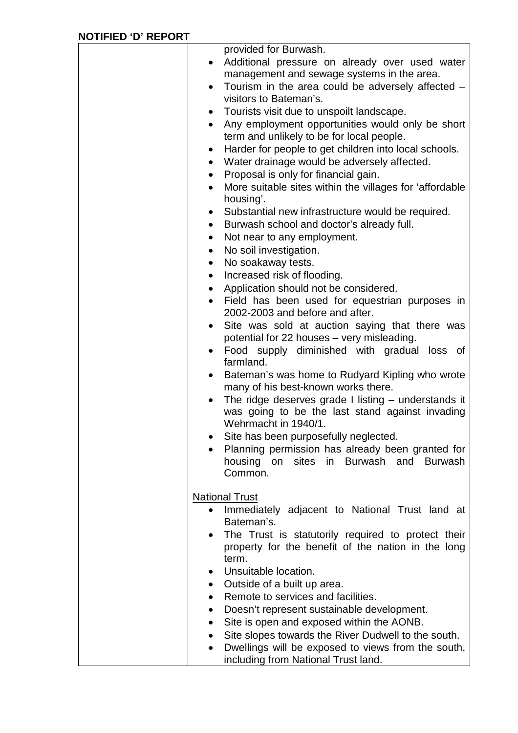|           | provided for Burwash.                                                |
|-----------|----------------------------------------------------------------------|
|           | Additional pressure on already over used water                       |
|           | management and sewage systems in the area.                           |
|           | Tourism in the area could be adversely affected -                    |
|           | visitors to Bateman's.                                               |
| $\bullet$ | Tourists visit due to unspoilt landscape.                            |
| $\bullet$ | Any employment opportunities would only be short                     |
|           | term and unlikely to be for local people.                            |
| $\bullet$ | Harder for people to get children into local schools.                |
| $\bullet$ | Water drainage would be adversely affected.                          |
| $\bullet$ | Proposal is only for financial gain.                                 |
| $\bullet$ | More suitable sites within the villages for 'affordable<br>housing'. |
|           | Substantial new infrastructure would be required.                    |
| $\bullet$ | Burwash school and doctor's already full.                            |
| $\bullet$ | Not near to any employment.                                          |
| $\bullet$ | No soil investigation.                                               |
| $\bullet$ | No soakaway tests.                                                   |
| $\bullet$ | Increased risk of flooding.                                          |
| $\bullet$ | Application should not be considered.                                |
|           | Field has been used for equestrian purposes in                       |
|           | 2002-2003 and before and after.                                      |
|           | Site was sold at auction saying that there was                       |
|           | potential for 22 houses - very misleading.                           |
|           | Food supply diminished with gradual loss of<br>farmland.             |
|           | Bateman's was home to Rudyard Kipling who wrote                      |
|           | many of his best-known works there.                                  |
|           | The ridge deserves grade I listing – understands it                  |
|           | was going to be the last stand against invading                      |
|           | Wehrmacht in 1940/1.                                                 |
|           | Site has been purposefully neglected.                                |
|           | Planning permission has already been granted for                     |
|           | housing on sites in Burwash and Burwash                              |
|           | Common.                                                              |
|           | <b>National Trust</b>                                                |
|           | Immediately adjacent to National Trust land at                       |
|           | Bateman's.                                                           |
|           | The Trust is statutorily required to protect their                   |
|           | property for the benefit of the nation in the long                   |
|           | term.                                                                |
| $\bullet$ | Unsuitable location.                                                 |
| $\bullet$ | Outside of a built up area.                                          |
| $\bullet$ | Remote to services and facilities.                                   |
| $\bullet$ | Doesn't represent sustainable development.                           |
| $\bullet$ | Site is open and exposed within the AONB.                            |
| $\bullet$ | Site slopes towards the River Dudwell to the south.                  |
|           | Dwellings will be exposed to views from the south,                   |
|           | including from National Trust land.                                  |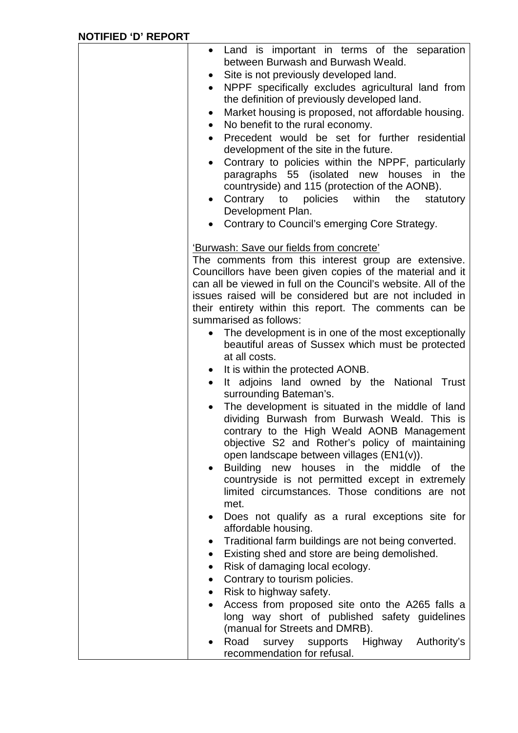| • Land is important in terms of the separation<br>between Burwash and Burwash Weald.<br>Site is not previously developed land.<br>NPPF specifically excludes agricultural land from<br>$\bullet$<br>the definition of previously developed land.<br>Market housing is proposed, not affordable housing.<br>$\bullet$<br>No benefit to the rural economy.<br>$\bullet$<br>Precedent would be set for further residential<br>development of the site in the future.<br>Contrary to policies within the NPPF, particularly<br>paragraphs 55 (isolated new houses in<br>the<br>countryside) and 115 (protection of the AONB).<br>Contrary to policies within<br>the<br>statutory<br>$\bullet$<br>Development Plan.<br>Contrary to Council's emerging Core Strategy. |  |
|-----------------------------------------------------------------------------------------------------------------------------------------------------------------------------------------------------------------------------------------------------------------------------------------------------------------------------------------------------------------------------------------------------------------------------------------------------------------------------------------------------------------------------------------------------------------------------------------------------------------------------------------------------------------------------------------------------------------------------------------------------------------|--|
| 'Burwash: Save our fields from concrete'                                                                                                                                                                                                                                                                                                                                                                                                                                                                                                                                                                                                                                                                                                                        |  |
| The comments from this interest group are extensive.<br>Councillors have been given copies of the material and it<br>can all be viewed in full on the Council's website. All of the<br>issues raised will be considered but are not included in<br>their entirety within this report. The comments can be<br>summarised as follows:                                                                                                                                                                                                                                                                                                                                                                                                                             |  |
| The development is in one of the most exceptionally<br>$\bullet$<br>beautiful areas of Sussex which must be protected<br>at all costs.                                                                                                                                                                                                                                                                                                                                                                                                                                                                                                                                                                                                                          |  |
| It is within the protected AONB.<br>$\bullet$<br>It adjoins land owned by the National Trust<br>$\bullet$<br>surrounding Bateman's.                                                                                                                                                                                                                                                                                                                                                                                                                                                                                                                                                                                                                             |  |
| The development is situated in the middle of land<br>dividing Burwash from Burwash Weald. This is<br>contrary to the High Weald AONB Management<br>objective S2 and Rother's policy of maintaining<br>open landscape between villages (EN1(v)).                                                                                                                                                                                                                                                                                                                                                                                                                                                                                                                 |  |
| Building new<br>houses<br>in the<br>middle<br>of the<br>countryside is not permitted except in extremely<br>limited circumstances. Those conditions are not<br>met.                                                                                                                                                                                                                                                                                                                                                                                                                                                                                                                                                                                             |  |
| Does not qualify as a rural exceptions site for<br>$\bullet$<br>affordable housing.                                                                                                                                                                                                                                                                                                                                                                                                                                                                                                                                                                                                                                                                             |  |
| Traditional farm buildings are not being converted.<br>$\bullet$<br>Existing shed and store are being demolished.<br>$\bullet$                                                                                                                                                                                                                                                                                                                                                                                                                                                                                                                                                                                                                                  |  |
| Risk of damaging local ecology.<br>$\bullet$<br>Contrary to tourism policies.<br>$\bullet$                                                                                                                                                                                                                                                                                                                                                                                                                                                                                                                                                                                                                                                                      |  |
| Risk to highway safety.<br>$\bullet$<br>Access from proposed site onto the A265 falls a<br>long way short of published safety guidelines<br>(manual for Streets and DMRB).                                                                                                                                                                                                                                                                                                                                                                                                                                                                                                                                                                                      |  |
| Road<br>survey supports<br>Authority's<br>Highway<br>recommendation for refusal.                                                                                                                                                                                                                                                                                                                                                                                                                                                                                                                                                                                                                                                                                |  |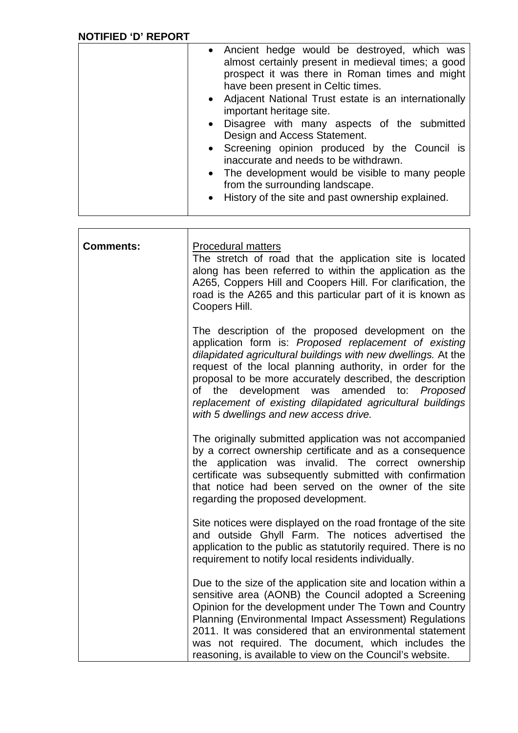| • Ancient hedge would be destroyed, which was<br>almost certainly present in medieval times; a good<br>prospect it was there in Roman times and might<br>have been present in Celtic times.<br>• Adjacent National Trust estate is an internationally<br>important heritage site.<br>Disagree with many aspects of the submitted<br>$\bullet$<br>Design and Access Statement.<br>• Screening opinion produced by the Council is<br>inaccurate and needs to be withdrawn.<br>• The development would be visible to many people<br>from the surrounding landscape.<br>History of the site and past ownership explained.<br>$\bullet$ |
|------------------------------------------------------------------------------------------------------------------------------------------------------------------------------------------------------------------------------------------------------------------------------------------------------------------------------------------------------------------------------------------------------------------------------------------------------------------------------------------------------------------------------------------------------------------------------------------------------------------------------------|
|------------------------------------------------------------------------------------------------------------------------------------------------------------------------------------------------------------------------------------------------------------------------------------------------------------------------------------------------------------------------------------------------------------------------------------------------------------------------------------------------------------------------------------------------------------------------------------------------------------------------------------|

| <b>Comments:</b> | <b>Procedural matters</b><br>The stretch of road that the application site is located<br>along has been referred to within the application as the<br>A265, Coppers Hill and Coopers Hill. For clarification, the<br>road is the A265 and this particular part of it is known as<br>Coopers Hill.                                                                                                                                                                                |
|------------------|---------------------------------------------------------------------------------------------------------------------------------------------------------------------------------------------------------------------------------------------------------------------------------------------------------------------------------------------------------------------------------------------------------------------------------------------------------------------------------|
|                  | The description of the proposed development on the<br>application form is: Proposed replacement of existing<br>dilapidated agricultural buildings with new dwellings. At the<br>request of the local planning authority, in order for the<br>proposal to be more accurately described, the description<br>development<br>amended<br>the<br>was<br>to:<br>Proposed<br>of<br>replacement of existing dilapidated agricultural buildings<br>with 5 dwellings and new access drive. |
|                  | The originally submitted application was not accompanied<br>by a correct ownership certificate and as a consequence<br>the application was invalid. The correct ownership<br>certificate was subsequently submitted with confirmation<br>that notice had been served on the owner of the site<br>regarding the proposed development.                                                                                                                                            |
|                  | Site notices were displayed on the road frontage of the site<br>and outside Ghyll Farm. The notices advertised the<br>application to the public as statutorily required. There is no<br>requirement to notify local residents individually.                                                                                                                                                                                                                                     |
|                  | Due to the size of the application site and location within a<br>sensitive area (AONB) the Council adopted a Screening<br>Opinion for the development under The Town and Country<br>Planning (Environmental Impact Assessment) Regulations<br>2011. It was considered that an environmental statement<br>was not required. The document, which includes the<br>reasoning, is available to view on the Council's website.                                                        |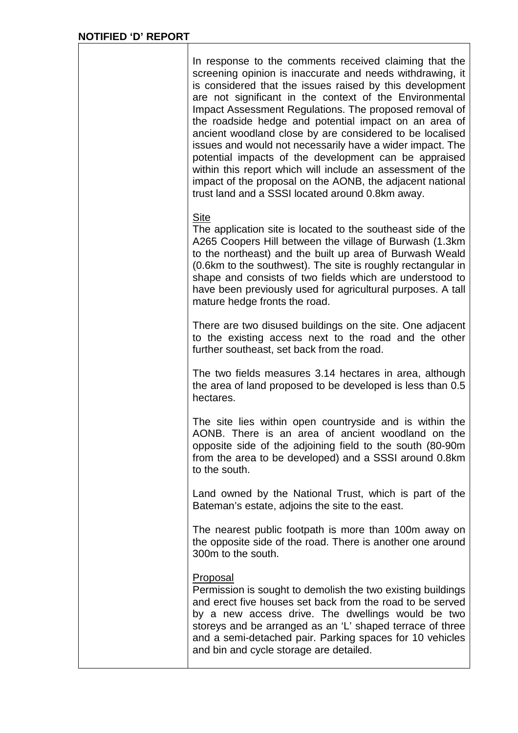| In response to the comments received claiming that the<br>screening opinion is inaccurate and needs withdrawing, it<br>is considered that the issues raised by this development<br>are not significant in the context of the Environmental<br>Impact Assessment Regulations. The proposed removal of<br>the roadside hedge and potential impact on an area of<br>ancient woodland close by are considered to be localised<br>issues and would not necessarily have a wider impact. The<br>potential impacts of the development can be appraised<br>within this report which will include an assessment of the<br>impact of the proposal on the AONB, the adjacent national<br>trust land and a SSSI located around 0.8km away. |
|--------------------------------------------------------------------------------------------------------------------------------------------------------------------------------------------------------------------------------------------------------------------------------------------------------------------------------------------------------------------------------------------------------------------------------------------------------------------------------------------------------------------------------------------------------------------------------------------------------------------------------------------------------------------------------------------------------------------------------|
| <b>Site</b><br>The application site is located to the southeast side of the<br>A265 Coopers Hill between the village of Burwash (1.3km)<br>to the northeast) and the built up area of Burwash Weald<br>(0.6km to the southwest). The site is roughly rectangular in<br>shape and consists of two fields which are understood to<br>have been previously used for agricultural purposes. A tall<br>mature hedge fronts the road.                                                                                                                                                                                                                                                                                                |
| There are two disused buildings on the site. One adjacent<br>to the existing access next to the road and the other<br>further southeast, set back from the road.                                                                                                                                                                                                                                                                                                                                                                                                                                                                                                                                                               |
| The two fields measures 3.14 hectares in area, although<br>the area of land proposed to be developed is less than 0.5<br>hectares.                                                                                                                                                                                                                                                                                                                                                                                                                                                                                                                                                                                             |
| The site lies within open countryside and is within the<br>AONB. There is an area of ancient woodland on the<br>opposite side of the adjoining field to the south (80-90m<br>from the area to be developed) and a SSSI around 0.8km<br>to the south.                                                                                                                                                                                                                                                                                                                                                                                                                                                                           |
| Land owned by the National Trust, which is part of the<br>Bateman's estate, adjoins the site to the east.                                                                                                                                                                                                                                                                                                                                                                                                                                                                                                                                                                                                                      |
| The nearest public footpath is more than 100m away on<br>the opposite side of the road. There is another one around<br>300m to the south.                                                                                                                                                                                                                                                                                                                                                                                                                                                                                                                                                                                      |
| <b>Proposal</b><br>Permission is sought to demolish the two existing buildings<br>and erect five houses set back from the road to be served<br>by a new access drive. The dwellings would be two<br>storeys and be arranged as an 'L' shaped terrace of three<br>and a semi-detached pair. Parking spaces for 10 vehicles<br>and bin and cycle storage are detailed.                                                                                                                                                                                                                                                                                                                                                           |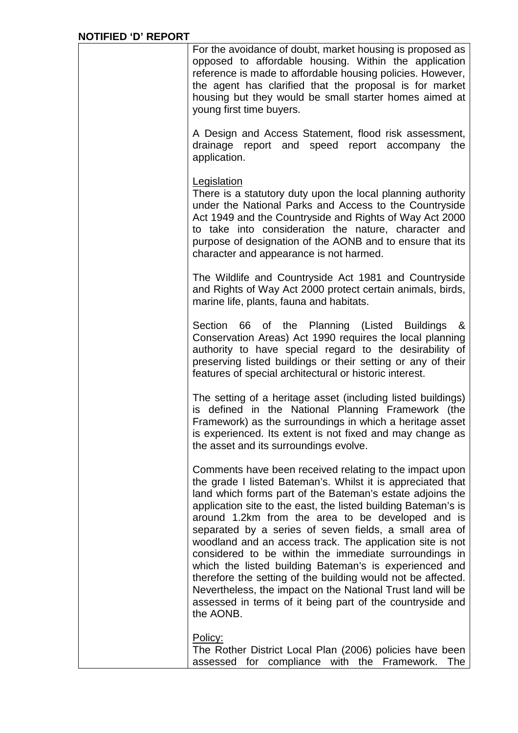| For the avoidance of doubt, market housing is proposed as<br>opposed to affordable housing. Within the application<br>reference is made to affordable housing policies. However,<br>the agent has clarified that the proposal is for market<br>housing but they would be small starter homes aimed at<br>young first time buyers.                                                                                                                                                                                                                                                                                                                                                                                                                             |
|---------------------------------------------------------------------------------------------------------------------------------------------------------------------------------------------------------------------------------------------------------------------------------------------------------------------------------------------------------------------------------------------------------------------------------------------------------------------------------------------------------------------------------------------------------------------------------------------------------------------------------------------------------------------------------------------------------------------------------------------------------------|
| A Design and Access Statement, flood risk assessment,<br>drainage report and speed report accompany the<br>application.                                                                                                                                                                                                                                                                                                                                                                                                                                                                                                                                                                                                                                       |
| Legislation<br>There is a statutory duty upon the local planning authority<br>under the National Parks and Access to the Countryside<br>Act 1949 and the Countryside and Rights of Way Act 2000<br>to take into consideration the nature, character and<br>purpose of designation of the AONB and to ensure that its<br>character and appearance is not harmed.                                                                                                                                                                                                                                                                                                                                                                                               |
| The Wildlife and Countryside Act 1981 and Countryside<br>and Rights of Way Act 2000 protect certain animals, birds,<br>marine life, plants, fauna and habitats.                                                                                                                                                                                                                                                                                                                                                                                                                                                                                                                                                                                               |
| Section 66 of the Planning (Listed Buildings<br>&<br>Conservation Areas) Act 1990 requires the local planning<br>authority to have special regard to the desirability of<br>preserving listed buildings or their setting or any of their<br>features of special architectural or historic interest.                                                                                                                                                                                                                                                                                                                                                                                                                                                           |
| The setting of a heritage asset (including listed buildings)<br>is defined in the National Planning Framework (the<br>Framework) as the surroundings in which a heritage asset<br>is experienced. Its extent is not fixed and may change as<br>the asset and its surroundings evolve.                                                                                                                                                                                                                                                                                                                                                                                                                                                                         |
| Comments have been received relating to the impact upon<br>the grade I listed Bateman's. Whilst it is appreciated that<br>land which forms part of the Bateman's estate adjoins the<br>application site to the east, the listed building Bateman's is<br>around 1.2km from the area to be developed and is<br>separated by a series of seven fields, a small area of<br>woodland and an access track. The application site is not<br>considered to be within the immediate surroundings in<br>which the listed building Bateman's is experienced and<br>therefore the setting of the building would not be affected.<br>Nevertheless, the impact on the National Trust land will be<br>assessed in terms of it being part of the countryside and<br>the AONB. |
| Policy:<br>The Rother District Local Plan (2006) policies have been<br>assessed for compliance with the Framework.<br>The                                                                                                                                                                                                                                                                                                                                                                                                                                                                                                                                                                                                                                     |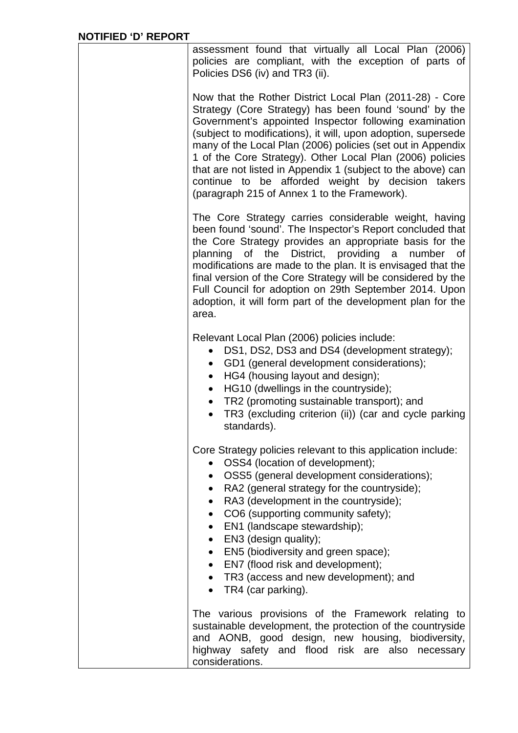| assessment found that virtually all Local Plan (2006)<br>policies are compliant, with the exception of parts of<br>Policies DS6 (iv) and TR3 (ii).                                                                                                                                                                                                                                                                                                                                                                                             |
|------------------------------------------------------------------------------------------------------------------------------------------------------------------------------------------------------------------------------------------------------------------------------------------------------------------------------------------------------------------------------------------------------------------------------------------------------------------------------------------------------------------------------------------------|
| Now that the Rother District Local Plan (2011-28) - Core<br>Strategy (Core Strategy) has been found 'sound' by the<br>Government's appointed Inspector following examination<br>(subject to modifications), it will, upon adoption, supersede<br>many of the Local Plan (2006) policies (set out in Appendix<br>1 of the Core Strategy). Other Local Plan (2006) policies<br>that are not listed in Appendix 1 (subject to the above) can<br>continue to be afforded weight by decision takers<br>(paragraph 215 of Annex 1 to the Framework). |
| The Core Strategy carries considerable weight, having<br>been found 'sound'. The Inspector's Report concluded that<br>the Core Strategy provides an appropriate basis for the<br>planning of the District, providing a<br>number<br>of<br>modifications are made to the plan. It is envisaged that the<br>final version of the Core Strategy will be considered by the<br>Full Council for adoption on 29th September 2014. Upon<br>adoption, it will form part of the development plan for the<br>area.                                       |
| Relevant Local Plan (2006) policies include:<br>DS1, DS2, DS3 and DS4 (development strategy);<br>$\bullet$<br>GD1 (general development considerations);<br>$\bullet$<br>HG4 (housing layout and design);<br>$\bullet$<br>HG10 (dwellings in the countryside);<br>$\bullet$<br>TR2 (promoting sustainable transport); and<br>$\bullet$<br>TR3 (excluding criterion (ii)) (car and cycle parking<br>$\bullet$<br>standards).                                                                                                                     |
| Core Strategy policies relevant to this application include:<br>OSS4 (location of development);<br>• OSS5 (general development considerations);<br>• RA2 (general strategy for the countryside);<br>RA3 (development in the countryside);<br>$\bullet$<br>CO6 (supporting community safety);<br>EN1 (landscape stewardship);<br>$\bullet$ EN3 (design quality);<br>EN5 (biodiversity and green space);<br>$\bullet$<br>• EN7 (flood risk and development);<br>• TR3 (access and new development); and<br>• TR4 (car parking).                  |
| The various provisions of the Framework relating to<br>sustainable development, the protection of the countryside<br>and AONB, good design, new housing, biodiversity,<br>highway safety and flood risk are also necessary<br>considerations.                                                                                                                                                                                                                                                                                                  |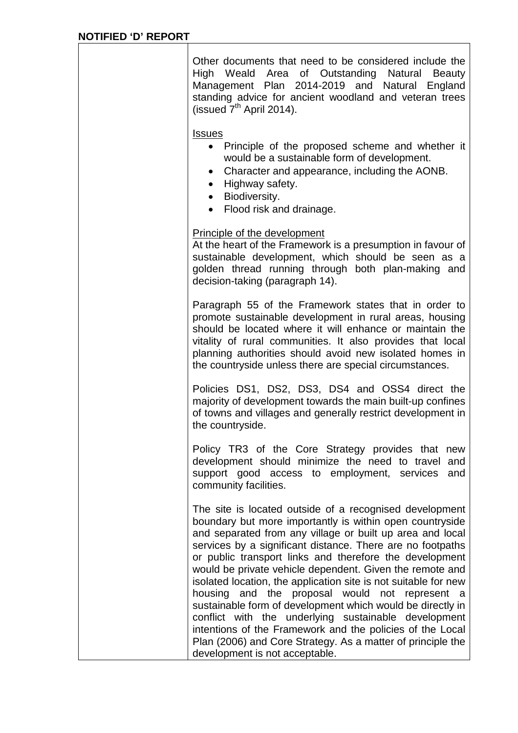Other documents that need to be considered include the High Weald Area of Outstanding Natural Beauty Management Plan 2014-2019 and Natural England standing advice for ancient woodland and veteran trees (issued  $7<sup>th</sup>$  April 2014). Issues • Principle of the proposed scheme and whether it would be a sustainable form of development. Character and appearance, including the AONB. • Highway safety. • Biodiversity. • Flood risk and drainage. Principle of the development At the heart of the Framework is a presumption in favour of sustainable development, which should be seen as a golden thread running through both plan-making and decision-taking (paragraph 14). Paragraph 55 of the Framework states that in order to promote sustainable development in rural areas, housing should be located where it will enhance or maintain the vitality of rural communities. It also provides that local planning authorities should avoid new isolated homes in the countryside unless there are special circumstances. Policies DS1, DS2, DS3, DS4 and OSS4 direct the majority of development towards the main built-up confines of towns and villages and generally restrict development in the countryside. Policy TR3 of the Core Strategy provides that new development should minimize the need to travel and support good access to employment, services and community facilities. The site is located outside of a recognised development boundary but more importantly is within open countryside and separated from any village or built up area and local services by a significant distance. There are no footpaths or public transport links and therefore the development would be private vehicle dependent. Given the remote and isolated location, the application site is not suitable for new housing and the proposal would not represent a sustainable form of development which would be directly in conflict with the underlying sustainable development intentions of the Framework and the policies of the Local Plan (2006) and Core Strategy. As a matter of principle the development is not acceptable.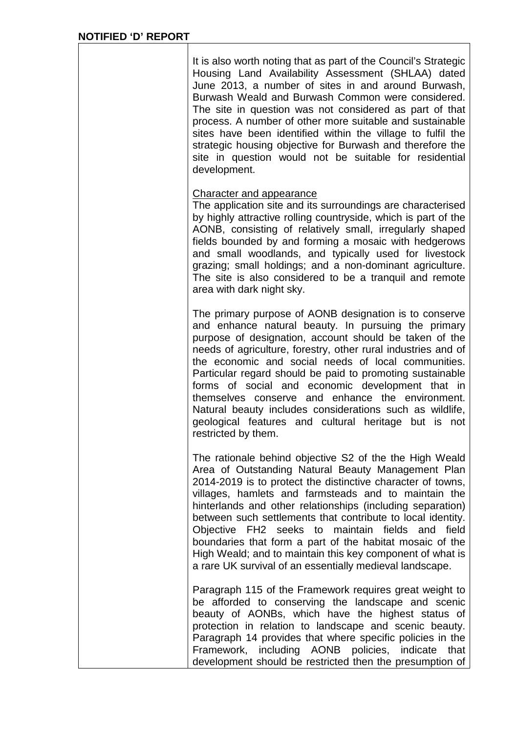$\mathbf l$ 

| It is also worth noting that as part of the Council's Strategic<br>Housing Land Availability Assessment (SHLAA) dated<br>June 2013, a number of sites in and around Burwash,<br>Burwash Weald and Burwash Common were considered.<br>The site in question was not considered as part of that<br>process. A number of other more suitable and sustainable<br>sites have been identified within the village to fulfil the<br>strategic housing objective for Burwash and therefore the<br>site in question would not be suitable for residential<br>development.                                                   |  |
|------------------------------------------------------------------------------------------------------------------------------------------------------------------------------------------------------------------------------------------------------------------------------------------------------------------------------------------------------------------------------------------------------------------------------------------------------------------------------------------------------------------------------------------------------------------------------------------------------------------|--|
| <b>Character and appearance</b><br>The application site and its surroundings are characterised<br>by highly attractive rolling countryside, which is part of the<br>AONB, consisting of relatively small, irregularly shaped<br>fields bounded by and forming a mosaic with hedgerows<br>and small woodlands, and typically used for livestock<br>grazing; small holdings; and a non-dominant agriculture.<br>The site is also considered to be a tranguil and remote<br>area with dark night sky.                                                                                                               |  |
| The primary purpose of AONB designation is to conserve<br>and enhance natural beauty. In pursuing the primary<br>purpose of designation, account should be taken of the<br>needs of agriculture, forestry, other rural industries and of<br>the economic and social needs of local communities.<br>Particular regard should be paid to promoting sustainable<br>forms of social and economic development that in<br>themselves conserve and enhance the environment.<br>Natural beauty includes considerations such as wildlife,<br>geological features and cultural heritage but is not<br>restricted by them.  |  |
| The rationale behind objective S2 of the the High Weald<br>Area of Outstanding Natural Beauty Management Plan<br>2014-2019 is to protect the distinctive character of towns,<br>villages, hamlets and farmsteads and to maintain the<br>hinterlands and other relationships (including separation)<br>between such settlements that contribute to local identity.<br>Objective FH2 seeks to<br>maintain fields<br>and field<br>boundaries that form a part of the habitat mosaic of the<br>High Weald; and to maintain this key component of what is<br>a rare UK survival of an essentially medieval landscape. |  |
| Paragraph 115 of the Framework requires great weight to<br>be afforded to conserving the landscape and scenic<br>beauty of AONBs, which have the highest status of<br>protection in relation to landscape and scenic beauty.<br>Paragraph 14 provides that where specific policies in the<br>Framework, including AONB policies,<br>indicate<br>that<br>development should be restricted then the presumption of                                                                                                                                                                                                 |  |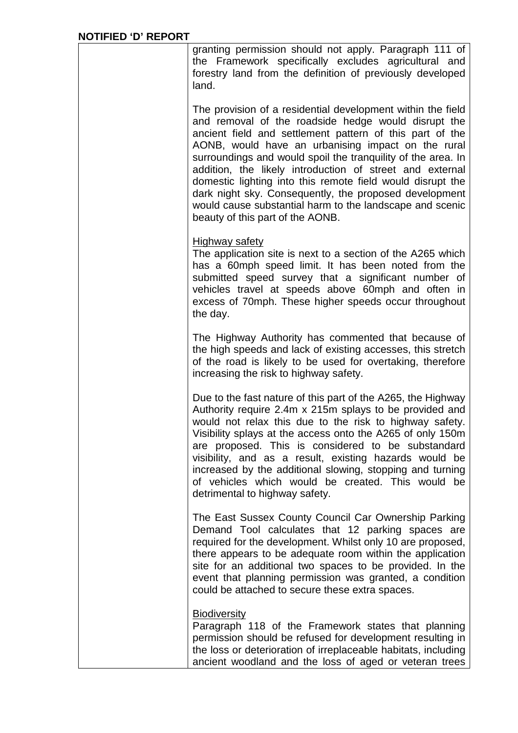| granting permission should not apply. Paragraph 111 of<br>the Framework specifically excludes agricultural and<br>forestry land from the definition of previously developed<br>land.                                                                                                                                                                                                                                                                                                                                                                                                     |
|------------------------------------------------------------------------------------------------------------------------------------------------------------------------------------------------------------------------------------------------------------------------------------------------------------------------------------------------------------------------------------------------------------------------------------------------------------------------------------------------------------------------------------------------------------------------------------------|
| The provision of a residential development within the field<br>and removal of the roadside hedge would disrupt the<br>ancient field and settlement pattern of this part of the<br>AONB, would have an urbanising impact on the rural<br>surroundings and would spoil the tranquility of the area. In<br>addition, the likely introduction of street and external<br>domestic lighting into this remote field would disrupt the<br>dark night sky. Consequently, the proposed development<br>would cause substantial harm to the landscape and scenic<br>beauty of this part of the AONB. |
| <b>Highway safety</b><br>The application site is next to a section of the A265 which<br>has a 60mph speed limit. It has been noted from the<br>submitted speed survey that a significant number of<br>vehicles travel at speeds above 60mph and often in<br>excess of 70mph. These higher speeds occur throughout<br>the day.                                                                                                                                                                                                                                                            |
| The Highway Authority has commented that because of<br>the high speeds and lack of existing accesses, this stretch<br>of the road is likely to be used for overtaking, therefore<br>increasing the risk to highway safety.                                                                                                                                                                                                                                                                                                                                                               |
| Due to the fast nature of this part of the A265, the Highway<br>Authority require 2.4m x 215m splays to be provided and<br>would not relax this due to the risk to highway safety.<br>Visibility splays at the access onto the A265 of only 150m<br>are proposed. This is considered to be substandard<br>visibility, and as a result, existing hazards would be<br>increased by the additional slowing, stopping and turning<br>of vehicles which would be created. This would be<br>detrimental to highway safety.                                                                     |
| The East Sussex County Council Car Ownership Parking<br>Demand Tool calculates that 12 parking spaces are<br>required for the development. Whilst only 10 are proposed,<br>there appears to be adequate room within the application<br>site for an additional two spaces to be provided. In the<br>event that planning permission was granted, a condition<br>could be attached to secure these extra spaces.                                                                                                                                                                            |
| <b>Biodiversity</b><br>Paragraph 118 of the Framework states that planning<br>permission should be refused for development resulting in<br>the loss or deterioration of irreplaceable habitats, including<br>ancient woodland and the loss of aged or veteran trees                                                                                                                                                                                                                                                                                                                      |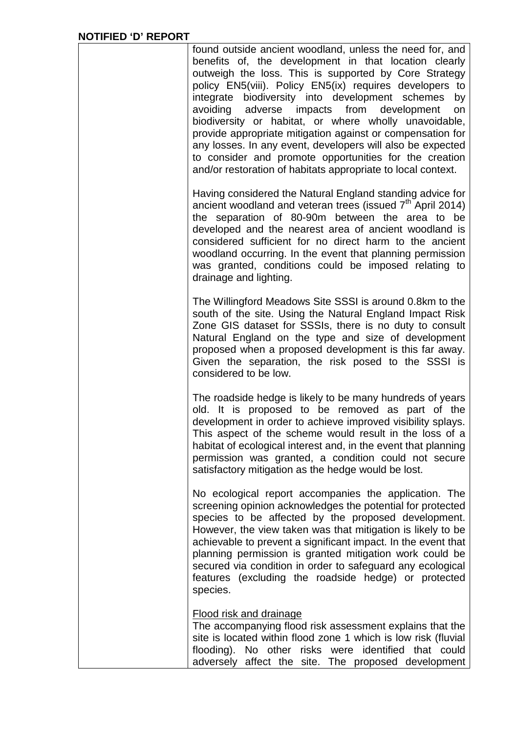| found outside ancient woodland, unless the need for, and<br>benefits of, the development in that location clearly<br>outweigh the loss. This is supported by Core Strategy<br>policy EN5(viii). Policy EN5(ix) requires developers to<br>integrate biodiversity into development schemes<br>by<br>avoiding<br>adverse<br>impacts<br>from development<br>on<br>biodiversity or habitat, or where wholly unavoidable,<br>provide appropriate mitigation against or compensation for<br>any losses. In any event, developers will also be expected<br>to consider and promote opportunities for the creation<br>and/or restoration of habitats appropriate to local context. |
|---------------------------------------------------------------------------------------------------------------------------------------------------------------------------------------------------------------------------------------------------------------------------------------------------------------------------------------------------------------------------------------------------------------------------------------------------------------------------------------------------------------------------------------------------------------------------------------------------------------------------------------------------------------------------|
| Having considered the Natural England standing advice for<br>ancient woodland and veteran trees (issued 7 <sup>th April</sup> 2014)<br>the separation of 80-90m between the area to be<br>developed and the nearest area of ancient woodland is<br>considered sufficient for no direct harm to the ancient<br>woodland occurring. In the event that planning permission<br>was granted, conditions could be imposed relating to<br>drainage and lighting.                                                                                                                                                                                                                 |
| The Willingford Meadows Site SSSI is around 0.8km to the<br>south of the site. Using the Natural England Impact Risk<br>Zone GIS dataset for SSSIs, there is no duty to consult<br>Natural England on the type and size of development<br>proposed when a proposed development is this far away.<br>Given the separation, the risk posed to the SSSI is<br>considered to be low.                                                                                                                                                                                                                                                                                          |
| The roadside hedge is likely to be many hundreds of years<br>old. It is proposed to be removed as part of the<br>development in order to achieve improved visibility splays.<br>This aspect of the scheme would result in the loss of a<br>habitat of ecological interest and, in the event that planning<br>permission was granted, a condition could not secure<br>satisfactory mitigation as the hedge would be lost.                                                                                                                                                                                                                                                  |
| No ecological report accompanies the application. The<br>screening opinion acknowledges the potential for protected<br>species to be affected by the proposed development.<br>However, the view taken was that mitigation is likely to be<br>achievable to prevent a significant impact. In the event that<br>planning permission is granted mitigation work could be<br>secured via condition in order to safeguard any ecological<br>features (excluding the roadside hedge) or protected<br>species.                                                                                                                                                                   |
| <b>Flood risk and drainage</b><br>The accompanying flood risk assessment explains that the<br>site is located within flood zone 1 which is low risk (fluvial<br>flooding). No other risks were identified that could<br>adversely affect the site. The proposed development                                                                                                                                                                                                                                                                                                                                                                                               |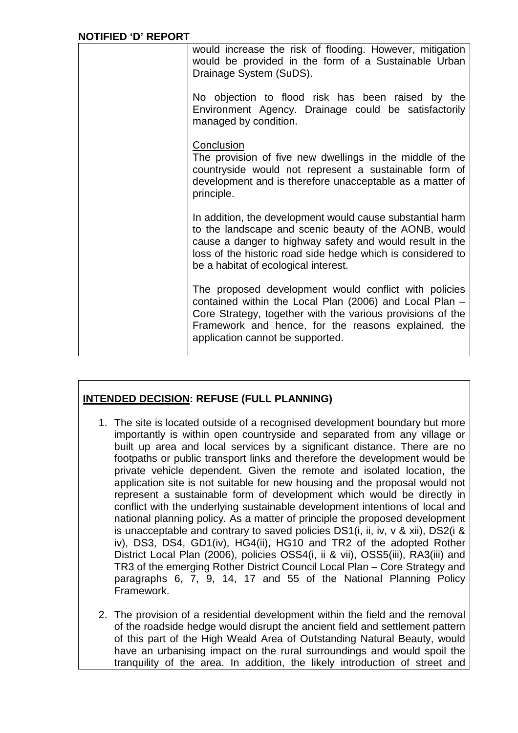| <b>NOTIFIED 'D' REPORT</b> |                                                                                                                                                                                                                                                                                       |
|----------------------------|---------------------------------------------------------------------------------------------------------------------------------------------------------------------------------------------------------------------------------------------------------------------------------------|
|                            | would increase the risk of flooding. However, mitigation<br>would be provided in the form of a Sustainable Urban<br>Drainage System (SuDS).                                                                                                                                           |
|                            | No objection to flood risk has been raised by the<br>Environment Agency. Drainage could be satisfactorily<br>managed by condition.                                                                                                                                                    |
|                            | Conclusion<br>The provision of five new dwellings in the middle of the<br>countryside would not represent a sustainable form of<br>development and is therefore unacceptable as a matter of<br>principle.                                                                             |
|                            | In addition, the development would cause substantial harm<br>to the landscape and scenic beauty of the AONB, would<br>cause a danger to highway safety and would result in the<br>loss of the historic road side hedge which is considered to<br>be a habitat of ecological interest. |
|                            | The proposed development would conflict with policies<br>contained within the Local Plan (2006) and Local Plan -<br>Core Strategy, together with the various provisions of the<br>Framework and hence, for the reasons explained, the<br>application cannot be supported.             |

### **INTENDED DECISION: REFUSE (FULL PLANNING)**

- 1. The site is located outside of a recognised development boundary but more importantly is within open countryside and separated from any village or built up area and local services by a significant distance. There are no footpaths or public transport links and therefore the development would be private vehicle dependent. Given the remote and isolated location, the application site is not suitable for new housing and the proposal would not represent a sustainable form of development which would be directly in conflict with the underlying sustainable development intentions of local and national planning policy. As a matter of principle the proposed development is unacceptable and contrary to saved policies DS1(i, ii, iv, v & xii), DS2(i & iv), DS3, DS4, GD1(iv), HG4(ii), HG10 and TR2 of the adopted Rother District Local Plan (2006), policies OSS4(i, ii & vii), OSS5(iii), RA3(iii) and TR3 of the emerging Rother District Council Local Plan – Core Strategy and paragraphs 6, 7, 9, 14, 17 and 55 of the National Planning Policy Framework.
- 2. The provision of a residential development within the field and the removal of the roadside hedge would disrupt the ancient field and settlement pattern of this part of the High Weald Area of Outstanding Natural Beauty, would have an urbanising impact on the rural surroundings and would spoil the tranquility of the area. In addition, the likely introduction of street and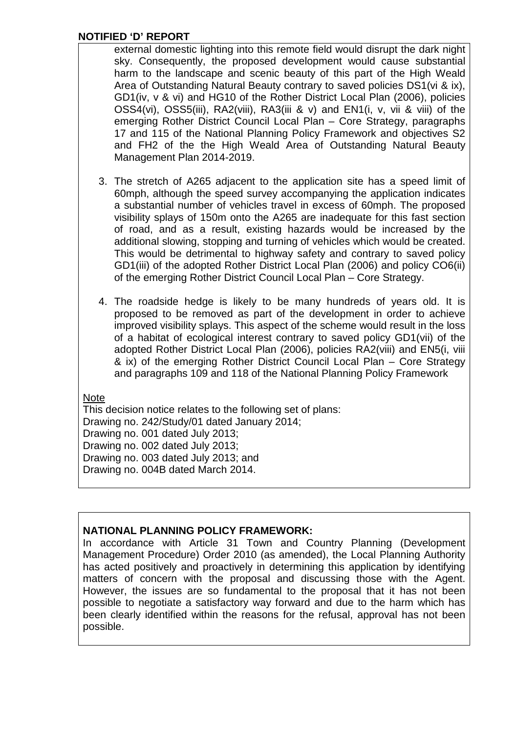external domestic lighting into this remote field would disrupt the dark night sky. Consequently, the proposed development would cause substantial harm to the landscape and scenic beauty of this part of the High Weald Area of Outstanding Natural Beauty contrary to saved policies DS1(vi & ix), GD1(iv, v & vi) and HG10 of the Rother District Local Plan (2006), policies OSS4(vi), OSS5(iii), RA2(viii), RA3(iii & v) and EN1(i, v, vii & viii) of the emerging Rother District Council Local Plan – Core Strategy, paragraphs 17 and 115 of the National Planning Policy Framework and objectives S2 and FH2 of the the High Weald Area of Outstanding Natural Beauty Management Plan 2014-2019.

- 3. The stretch of A265 adjacent to the application site has a speed limit of 60mph, although the speed survey accompanying the application indicates a substantial number of vehicles travel in excess of 60mph. The proposed visibility splays of 150m onto the A265 are inadequate for this fast section of road, and as a result, existing hazards would be increased by the additional slowing, stopping and turning of vehicles which would be created. This would be detrimental to highway safety and contrary to saved policy GD1(iii) of the adopted Rother District Local Plan (2006) and policy CO6(ii) of the emerging Rother District Council Local Plan – Core Strategy.
- 4. The roadside hedge is likely to be many hundreds of years old. It is proposed to be removed as part of the development in order to achieve improved visibility splays. This aspect of the scheme would result in the loss of a habitat of ecological interest contrary to saved policy GD1(vii) of the adopted Rother District Local Plan (2006), policies RA2(viii) and EN5(i, viii & ix) of the emerging Rother District Council Local Plan – Core Strategy and paragraphs 109 and 118 of the National Planning Policy Framework

### **Note**

This decision notice relates to the following set of plans: Drawing no. 242/Study/01 dated January 2014; Drawing no. 001 dated July 2013; Drawing no. 002 dated July 2013; Drawing no. 003 dated July 2013; and Drawing no. 004B dated March 2014.

### **NATIONAL PLANNING POLICY FRAMEWORK:**

In accordance with Article 31 Town and Country Planning (Development Management Procedure) Order 2010 (as amended), the Local Planning Authority has acted positively and proactively in determining this application by identifying matters of concern with the proposal and discussing those with the Agent. However, the issues are so fundamental to the proposal that it has not been possible to negotiate a satisfactory way forward and due to the harm which has been clearly identified within the reasons for the refusal, approval has not been possible.